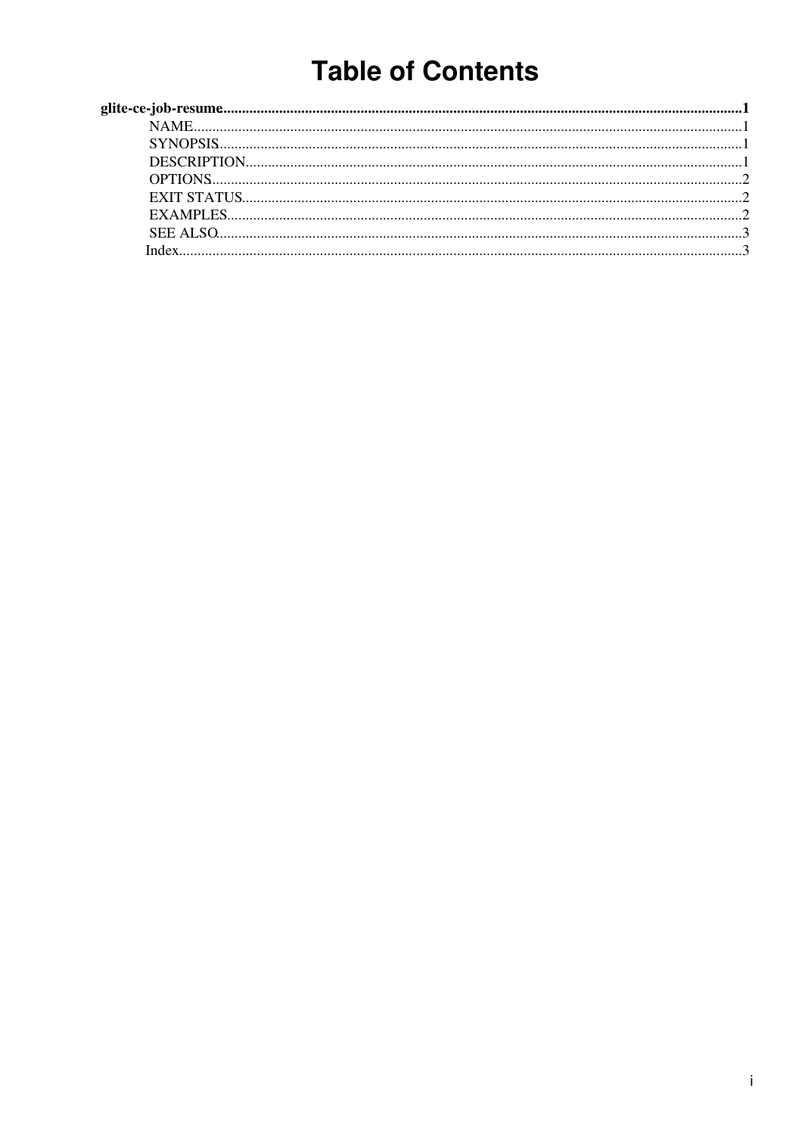# **Table of Contents**

| SEE ALSO |  |
|----------|--|
|          |  |
|          |  |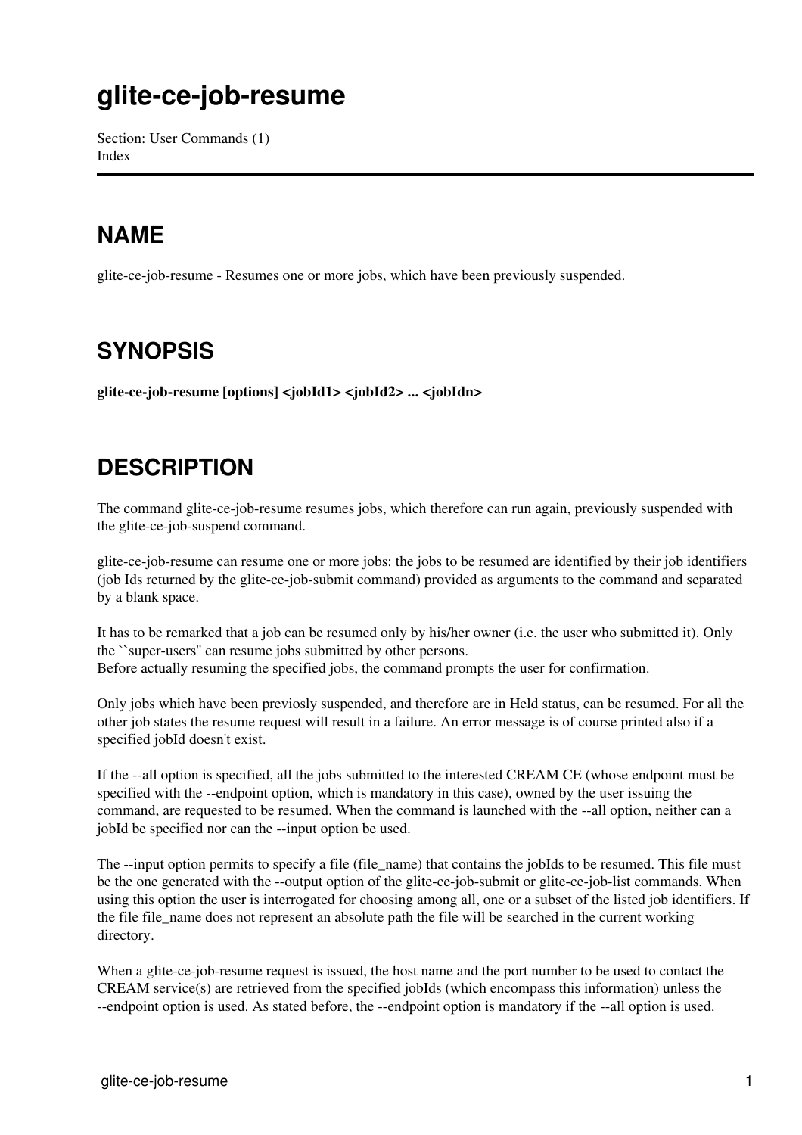## <span id="page-1-0"></span>**glite-ce-job-resume**

Section: User Commands (1) [Index](#page-3-2)

### <span id="page-1-4"></span><span id="page-1-1"></span>**NAME**

<span id="page-1-5"></span>glite-ce-job-resume - Resumes one or more jobs, which have been previously suspended.

### <span id="page-1-2"></span>**SYNOPSIS**

<span id="page-1-6"></span>**glite-ce-job-resume [options] <jobId1> <jobId2> ... <jobIdn>**

### <span id="page-1-3"></span>**DESCRIPTION**

The command glite-ce-job-resume resumes jobs, which therefore can run again, previously suspended with the glite-ce-job-suspend command.

glite-ce-job-resume can resume one or more jobs: the jobs to be resumed are identified by their job identifiers (job Ids returned by the glite-ce-job-submit command) provided as arguments to the command and separated by a blank space.

It has to be remarked that a job can be resumed only by his/her owner (i.e. the user who submitted it). Only the ``super-users'' can resume jobs submitted by other persons. Before actually resuming the specified jobs, the command prompts the user for confirmation.

Only jobs which have been previosly suspended, and therefore are in Held status, can be resumed. For all the other job states the resume request will result in a failure. An error message is of course printed also if a specified jobId doesn't exist.

If the --all option is specified, all the jobs submitted to the interested CREAM CE (whose endpoint must be specified with the --endpoint option, which is mandatory in this case), owned by the user issuing the command, are requested to be resumed. When the command is launched with the --all option, neither can a jobId be specified nor can the --input option be used.

The --input option permits to specify a file (file name) that contains the jobIds to be resumed. This file must be the one generated with the --output option of the glite-ce-job-submit or glite-ce-job-list commands. When using this option the user is interrogated for choosing among all, one or a subset of the listed job identifiers. If the file file\_name does not represent an absolute path the file will be searched in the current working directory.

<span id="page-1-7"></span>When a glite-ce-job-resume request is issued, the host name and the port number to be used to contact the CREAM service(s) are retrieved from the specified jobIds (which encompass this information) unless the --endpoint option is used. As stated before, the --endpoint option is mandatory if the --all option is used.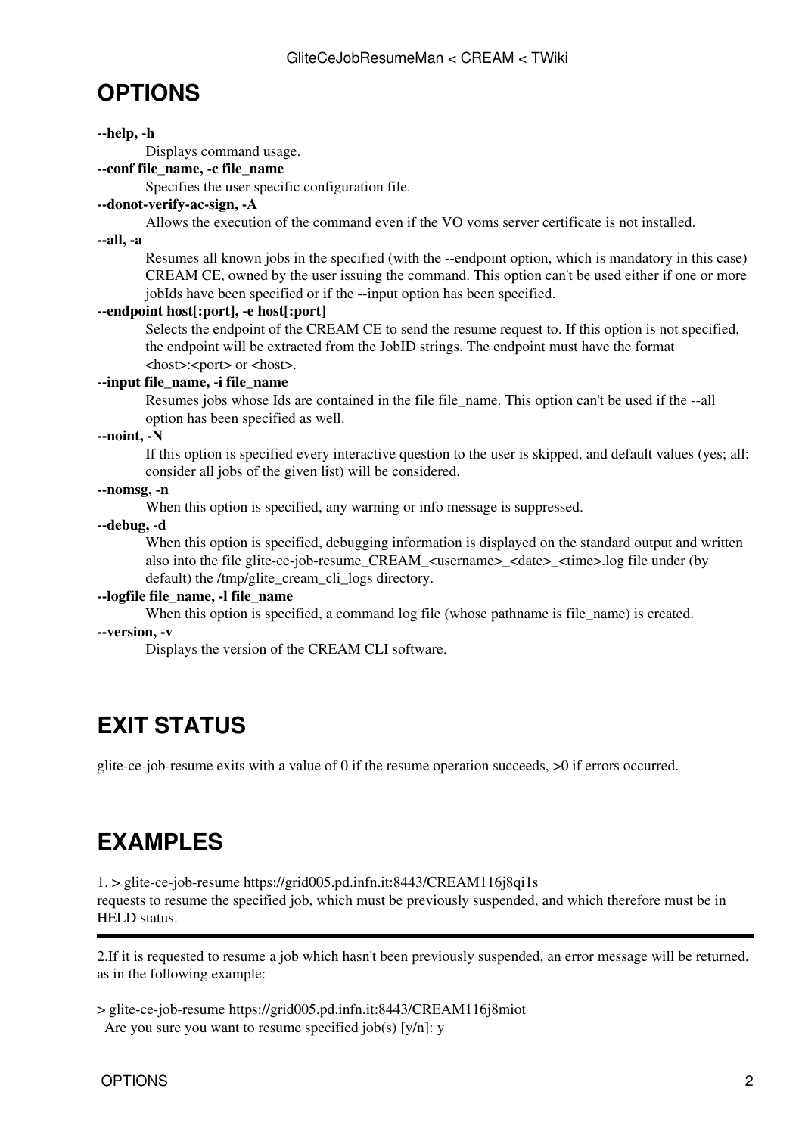### <span id="page-2-0"></span>**OPTIONS**

#### **--help, -h**

Displays command usage.

#### **--conf file\_name, -c file\_name**

Specifies the user specific configuration file.

#### **--donot-verify-ac-sign, -A**

Allows the execution of the command even if the VO voms server certificate is not installed.

#### **--all, -a**

Resumes all known jobs in the specified (with the --endpoint option, which is mandatory in this case) CREAM CE, owned by the user issuing the command. This option can't be used either if one or more jobIds have been specified or if the --input option has been specified.

#### **--endpoint host[:port], -e host[:port]**

Selects the endpoint of the CREAM CE to send the resume request to. If this option is not specified, the endpoint will be extracted from the [JobID](https://wiki-igi.cnaf.infn.it/twiki/bin/edit/CREAM/JobID?topicparent=CREAM.GliteCeJobResumeMan;nowysiwyg=0) strings. The endpoint must have the format <host>:<port> or <host>.

#### **--input file\_name, -i file\_name**

Resumes jobs whose Ids are contained in the file file name. This option can't be used if the --all option has been specified as well.

#### **--noint, -N**

If this option is specified every interactive question to the user is skipped, and default values (yes; all: consider all jobs of the given list) will be considered.

#### **--nomsg, -n**

When this option is specified, any warning or info message is suppressed.

#### **--debug, -d**

When this option is specified, debugging information is displayed on the standard output and written also into the file glite-ce-job-resume\_CREAM\_<username>\_<date>\_<time>.log file under (by default) the /tmp/glite\_cream\_cli\_logs directory.

#### **--logfile file\_name, -l file\_name**

When this option is specified, a command log file (whose pathname is file name) is created.

#### **--version, -v**

Displays the version of the CREAM CLI software.

### <span id="page-2-3"></span><span id="page-2-1"></span>**EXIT STATUS**

<span id="page-2-4"></span>glite-ce-job-resume exits with a value of 0 if the resume operation succeeds, >0 if errors occurred.

### <span id="page-2-2"></span>**EXAMPLES**

1. > glite-ce-job-resume <https://grid005.pd.infn.it:8443/CREAM116j8qi1s> requests to resume the specified job, which must be previously suspended, and which therefore must be in HELD status.

2.If it is requested to resume a job which hasn't been previously suspended, an error message will be returned, as in the following example:

> glite-ce-job-resume <https://grid005.pd.infn.it:8443/CREAM116j8miot> Are you sure you want to resume specified job(s)  $[y/n]$ : y